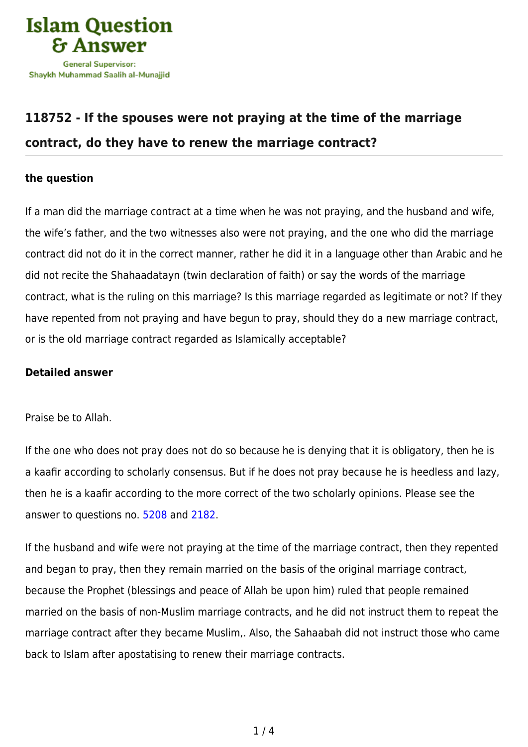

## **[118752 - If the spouses were not praying at the time of the marriage](https://islamqa.com/en/answers/118752/if-the-spouses-were-not-praying-at-the-time-of-the-marriage-contract-do-they-have-to-renew-the-marriage-contract) [contract, do they have to renew the marriage contract?](https://islamqa.com/en/answers/118752/if-the-spouses-were-not-praying-at-the-time-of-the-marriage-contract-do-they-have-to-renew-the-marriage-contract)**

## **the question**

If a man did the marriage contract at a time when he was not praying, and the husband and wife, the wife's father, and the two witnesses also were not praying, and the one who did the marriage contract did not do it in the correct manner, rather he did it in a language other than Arabic and he did not recite the Shahaadatayn (twin declaration of faith) or say the words of the marriage contract, what is the ruling on this marriage? Is this marriage regarded as legitimate or not? If they have repented from not praying and have begun to pray, should they do a new marriage contract, or is the old marriage contract regarded as Islamically acceptable?

## **Detailed answer**

Praise be to Allah.

If the one who does not pray does not do so because he is denying that it is obligatory, then he is a kaafir according to scholarly consensus. But if he does not pray because he is heedless and lazy, then he is a kaafir according to the more correct of the two scholarly opinions. Please see the answer to questions no. [5208](https://islamqa.com/en/answers/5208) and [2182](https://islamqa.com/en/answers/2182).

If the husband and wife were not praying at the time of the marriage contract, then they repented and began to pray, then they remain married on the basis of the original marriage contract, because the Prophet (blessings and peace of Allah be upon him) ruled that people remained married on the basis of non-Muslim marriage contracts, and he did not instruct them to repeat the marriage contract after they became Muslim,. Also, the Sahaabah did not instruct those who came back to Islam after apostatising to renew their marriage contracts.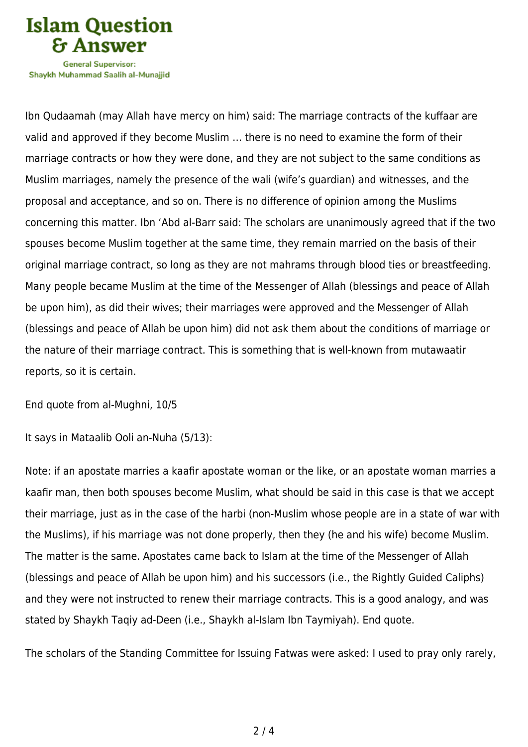

Shavkh Muhammad Saalih al-Munaiiid

Ibn Qudaamah (may Allah have mercy on him) said: The marriage contracts of the kuffaar are valid and approved if they become Muslim … there is no need to examine the form of their marriage contracts or how they were done, and they are not subject to the same conditions as Muslim marriages, namely the presence of the wali (wife's guardian) and witnesses, and the proposal and acceptance, and so on. There is no difference of opinion among the Muslims concerning this matter. Ibn 'Abd al-Barr said: The scholars are unanimously agreed that if the two spouses become Muslim together at the same time, they remain married on the basis of their original marriage contract, so long as they are not mahrams through blood ties or breastfeeding. Many people became Muslim at the time of the Messenger of Allah (blessings and peace of Allah be upon him), as did their wives; their marriages were approved and the Messenger of Allah (blessings and peace of Allah be upon him) did not ask them about the conditions of marriage or the nature of their marriage contract. This is something that is well-known from mutawaatir reports, so it is certain.

End quote from al-Mughni, 10/5

It says in Mataalib Ooli an-Nuha (5/13):

Note: if an apostate marries a kaafir apostate woman or the like, or an apostate woman marries a kaafir man, then both spouses become Muslim, what should be said in this case is that we accept their marriage, just as in the case of the harbi (non-Muslim whose people are in a state of war with the Muslims), if his marriage was not done properly, then they (he and his wife) become Muslim. The matter is the same. Apostates came back to Islam at the time of the Messenger of Allah (blessings and peace of Allah be upon him) and his successors (i.e., the Rightly Guided Caliphs) and they were not instructed to renew their marriage contracts. This is a good analogy, and was stated by Shaykh Taqiy ad-Deen (i.e., Shaykh al-Islam Ibn Taymiyah). End quote.

The scholars of the Standing Committee for Issuing Fatwas were asked: I used to pray only rarely,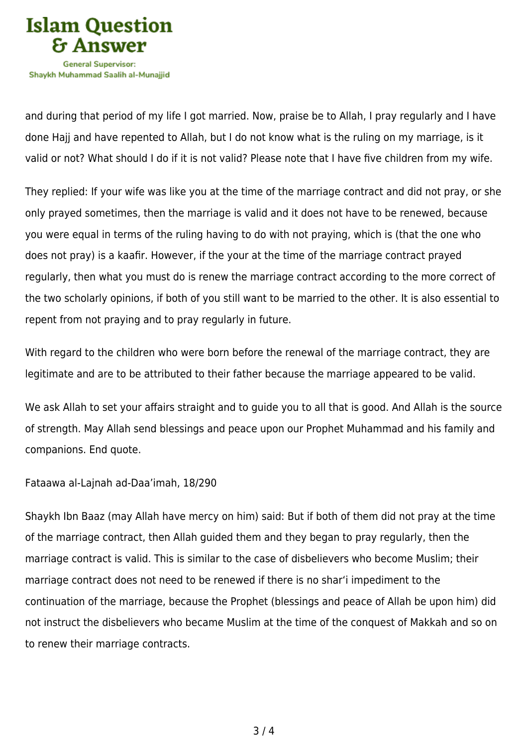

and during that period of my life I got married. Now, praise be to Allah, I pray regularly and I have done Hajj and have repented to Allah, but I do not know what is the ruling on my marriage, is it valid or not? What should I do if it is not valid? Please note that I have five children from my wife.

They replied: If your wife was like you at the time of the marriage contract and did not pray, or she only prayed sometimes, then the marriage is valid and it does not have to be renewed, because you were equal in terms of the ruling having to do with not praying, which is (that the one who does not pray) is a kaafir. However, if the your at the time of the marriage contract prayed regularly, then what you must do is renew the marriage contract according to the more correct of the two scholarly opinions, if both of you still want to be married to the other. It is also essential to repent from not praying and to pray regularly in future.

With regard to the children who were born before the renewal of the marriage contract, they are legitimate and are to be attributed to their father because the marriage appeared to be valid.

We ask Allah to set your affairs straight and to guide you to all that is good. And Allah is the source of strength. May Allah send blessings and peace upon our Prophet Muhammad and his family and companions. End quote.

Fataawa al-Lajnah ad-Daa'imah, 18/290

Shaykh Ibn Baaz (may Allah have mercy on him) said: But if both of them did not pray at the time of the marriage contract, then Allah guided them and they began to pray regularly, then the marriage contract is valid. This is similar to the case of disbelievers who become Muslim; their marriage contract does not need to be renewed if there is no shar'i impediment to the continuation of the marriage, because the Prophet (blessings and peace of Allah be upon him) did not instruct the disbelievers who became Muslim at the time of the conquest of Makkah and so on to renew their marriage contracts.